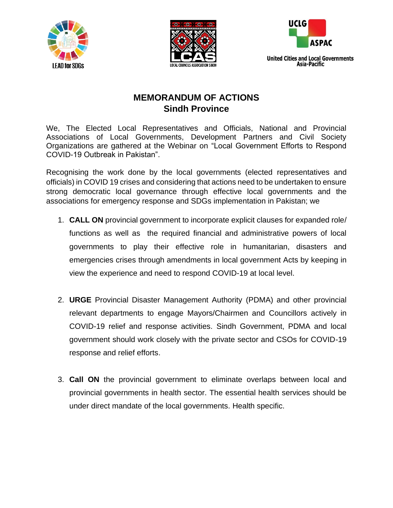





**United Cities and Local Governments** Asia-Pacific

## **MEMORANDUM OF ACTIONS Sindh Province**

We, The Elected Local Representatives and Officials, National and Provincial Associations of Local Governments, Development Partners and Civil Society Organizations are gathered at the Webinar on "Local Government Efforts to Respond COVID-19 Outbreak in Pakistan".

Recognising the work done by the local governments (elected representatives and officials) in COVID 19 crises and considering that actions need to be undertaken to ensure strong democratic local governance through effective local governments and the associations for emergency response and SDGs implementation in Pakistan; we

- 1. **CALL ON** provincial government to incorporate explicit clauses for expanded role/ functions as well as the required financial and administrative powers of local governments to play their effective role in humanitarian, disasters and emergencies crises through amendments in local government Acts by keeping in view the experience and need to respond COVID-19 at local level.
- 2. **URGE** Provincial Disaster Management Authority (PDMA) and other provincial relevant departments to engage Mayors/Chairmen and Councillors actively in COVID-19 relief and response activities. Sindh Government, PDMA and local government should work closely with the private sector and CSOs for COVID-19 response and relief efforts.
- 3. **Call ON** the provincial government to eliminate overlaps between local and provincial governments in health sector. The essential health services should be under direct mandate of the local governments. Health specific.